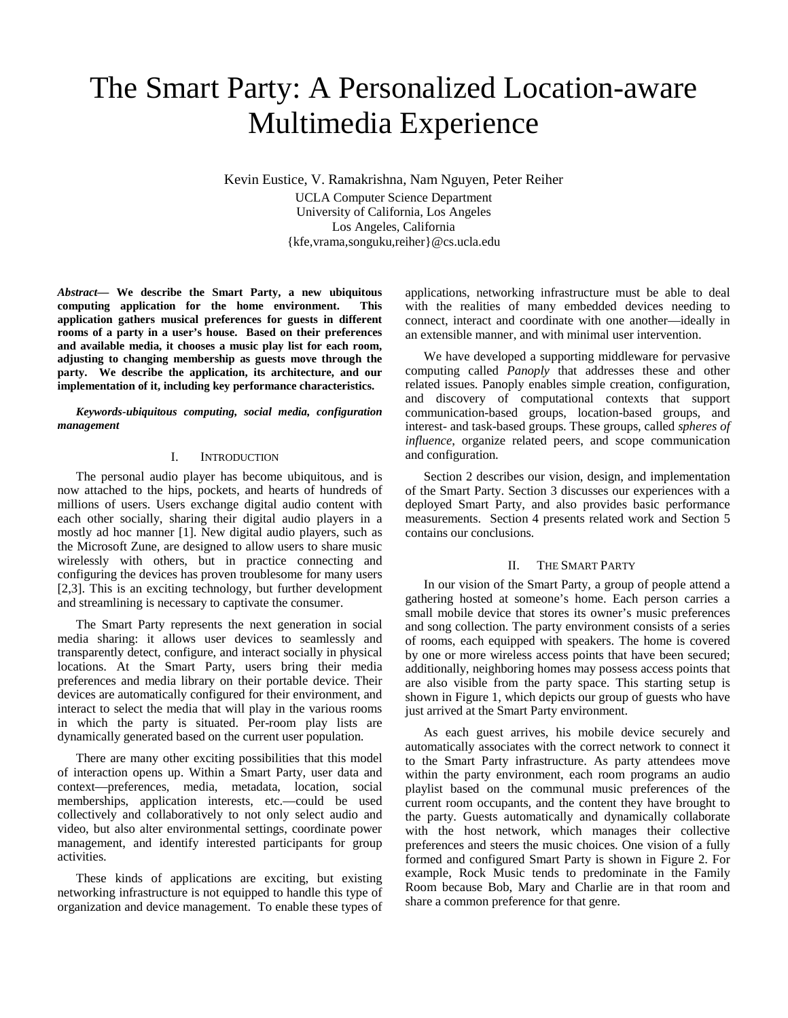# The Smart Party: A Personalized Location-aware Multimedia Experience

Kevin Eustice, V. Ramakrishna, Nam Nguyen, Peter Reiher UCLA Computer Science Department University of California, Los Angeles Los Angeles, California {kfe,vrama,songuku,reiher}@cs.ucla.edu

*Abstract***— We describe the Smart Party, a new ubiquitous computing application for the home environment. This application gathers musical preferences for guests in different rooms of a party in a user's house. Based on their preferences and available media, it chooses a music play list for each room, adjusting to changing membership as guests move through the party. We describe the application, its architecture, and our implementation of it, including key performance characteristics.** 

*Keywords-ubiquitous computing, social media, configuration management* 

## I. INTRODUCTION

The personal audio player has become ubiquitous, and is now attached to the hips, pockets, and hearts of hundreds of millions of users. Users exchange digital audio content with each other socially, sharing their digital audio players in a mostly ad hoc manner [1]. New digital audio players, such as the Microsoft Zune, are designed to allow users to share music wirelessly with others, but in practice connecting and configuring the devices has proven troublesome for many users [2,3]. This is an exciting technology, but further development and streamlining is necessary to captivate the consumer.

The Smart Party represents the next generation in social media sharing: it allows user devices to seamlessly and transparently detect, configure, and interact socially in physical locations. At the Smart Party, users bring their media preferences and media library on their portable device. Their devices are automatically configured for their environment, and interact to select the media that will play in the various rooms in which the party is situated. Per-room play lists are dynamically generated based on the current user population.

There are many other exciting possibilities that this model of interaction opens up. Within a Smart Party, user data and context—preferences, media, metadata, location, social memberships, application interests, etc.—could be used collectively and collaboratively to not only select audio and video, but also alter environmental settings, coordinate power management, and identify interested participants for group activities.

These kinds of applications are exciting, but existing networking infrastructure is not equipped to handle this type of organization and device management. To enable these types of applications, networking infrastructure must be able to deal with the realities of many embedded devices needing to connect, interact and coordinate with one another—ideally in an extensible manner, and with minimal user intervention.

We have developed a supporting middleware for pervasive computing called *Panoply* that addresses these and other related issues. Panoply enables simple creation, configuration, and discovery of computational contexts that support communication-based groups, location-based groups, and interest- and task-based groups. These groups, called *spheres of influence*, organize related peers, and scope communication and configuration.

Section 2 describes our vision, design, and implementation of the Smart Party. Section 3 discusses our experiences with a deployed Smart Party, and also provides basic performance measurements. Section 4 presents related work and Section 5 contains our conclusions.

## II. THE SMART PARTY

In our vision of the Smart Party, a group of people attend a gathering hosted at someone's home. Each person carries a small mobile device that stores its owner's music preferences and song collection. The party environment consists of a series of rooms, each equipped with speakers. The home is covered by one or more wireless access points that have been secured; additionally, neighboring homes may possess access points that are also visible from the party space. This starting setup is shown in Figure 1, which depicts our group of guests who have just arrived at the Smart Party environment.

As each guest arrives, his mobile device securely and automatically associates with the correct network to connect it to the Smart Party infrastructure. As party attendees move within the party environment, each room programs an audio playlist based on the communal music preferences of the current room occupants, and the content they have brought to the party. Guests automatically and dynamically collaborate with the host network, which manages their collective preferences and steers the music choices. One vision of a fully formed and configured Smart Party is shown in Figure 2. For example, Rock Music tends to predominate in the Family Room because Bob, Mary and Charlie are in that room and share a common preference for that genre.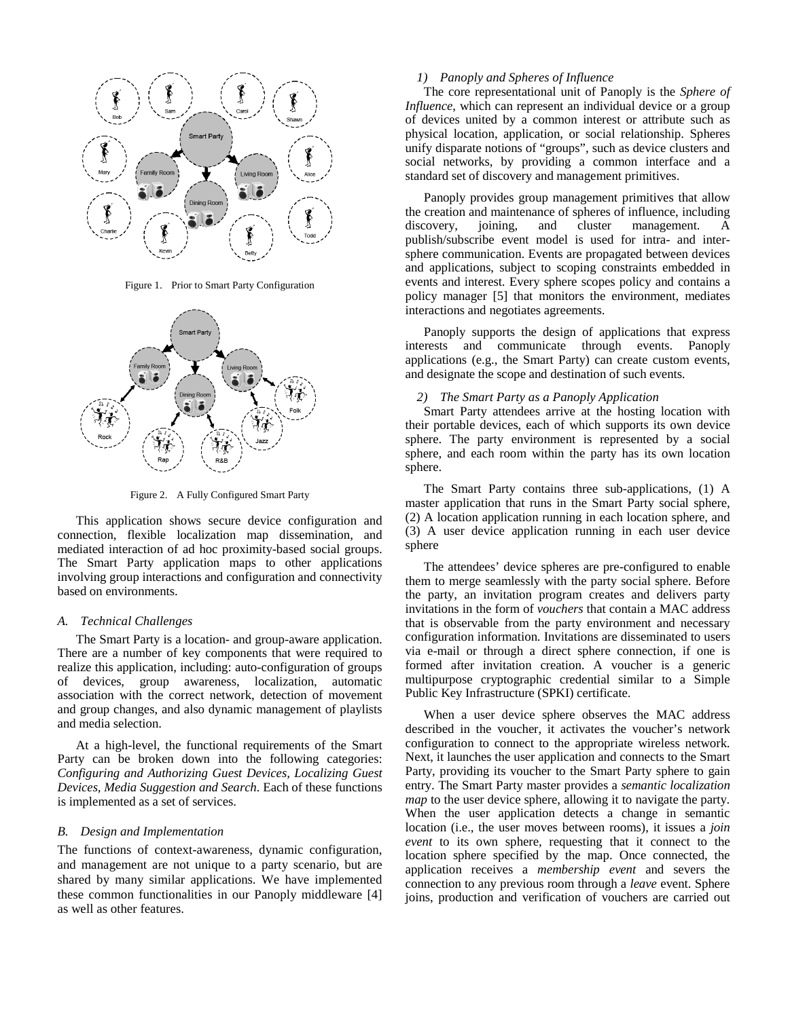

Figure 1. Prior to Smart Party Configuration



Figure 2. A Fully Configured Smart Party

This application shows secure device configuration and connection, flexible localization map dissemination, and mediated interaction of ad hoc proximity-based social groups. The Smart Party application maps to other applications involving group interactions and configuration and connectivity based on environments.

#### *A. Technical Challenges*

The Smart Party is a location- and group-aware application. There are a number of key components that were required to realize this application, including: auto-configuration of groups of devices, group awareness, localization, automatic association with the correct network, detection of movement and group changes, and also dynamic management of playlists and media selection.

At a high-level, the functional requirements of the Smart Party can be broken down into the following categories: *Configuring and Authorizing Guest Devices, Localizing Guest Devices, Media Suggestion and Search.* Each of these functions is implemented as a set of services.

## *B. Design and Implementation*

The functions of context-awareness, dynamic configuration, and management are not unique to a party scenario, but are shared by many similar applications. We have implemented these common functionalities in our Panoply middleware [4] as well as other features.

## *1) Panoply and Spheres of Influence*

The core representational unit of Panoply is the *Sphere of Influence*, which can represent an individual device or a group of devices united by a common interest or attribute such as physical location, application, or social relationship. Spheres unify disparate notions of "groups", such as device clusters and social networks, by providing a common interface and a standard set of discovery and management primitives.

Panoply provides group management primitives that allow the creation and maintenance of spheres of influence, including discovery, joining, and cluster management. A publish/subscribe event model is used for intra- and intersphere communication. Events are propagated between devices and applications, subject to scoping constraints embedded in events and interest. Every sphere scopes policy and contains a policy manager [5] that monitors the environment, mediates interactions and negotiates agreements.

Panoply supports the design of applications that express interests and communicate through events. Panoply applications (e.g., the Smart Party) can create custom events, and designate the scope and destination of such events.

#### *2) The Smart Party as a Panoply Application*

Smart Party attendees arrive at the hosting location with their portable devices, each of which supports its own device sphere. The party environment is represented by a social sphere, and each room within the party has its own location sphere.

The Smart Party contains three sub-applications, (1) A master application that runs in the Smart Party social sphere, (2) A location application running in each location sphere, and (3) A user device application running in each user device sphere

The attendees' device spheres are pre-configured to enable them to merge seamlessly with the party social sphere. Before the party, an invitation program creates and delivers party invitations in the form of *vouchers* that contain a MAC address that is observable from the party environment and necessary configuration information. Invitations are disseminated to users via e-mail or through a direct sphere connection, if one is formed after invitation creation. A voucher is a generic multipurpose cryptographic credential similar to a Simple Public Key Infrastructure (SPKI) certificate.

When a user device sphere observes the MAC address described in the voucher, it activates the voucher's network configuration to connect to the appropriate wireless network. Next, it launches the user application and connects to the Smart Party, providing its voucher to the Smart Party sphere to gain entry. The Smart Party master provides a *semantic localization map* to the user device sphere, allowing it to navigate the party. When the user application detects a change in semantic location (i.e., the user moves between rooms), it issues a *join event* to its own sphere, requesting that it connect to the location sphere specified by the map. Once connected, the application receives a *membership event* and severs the connection to any previous room through a *leave* event. Sphere joins, production and verification of vouchers are carried out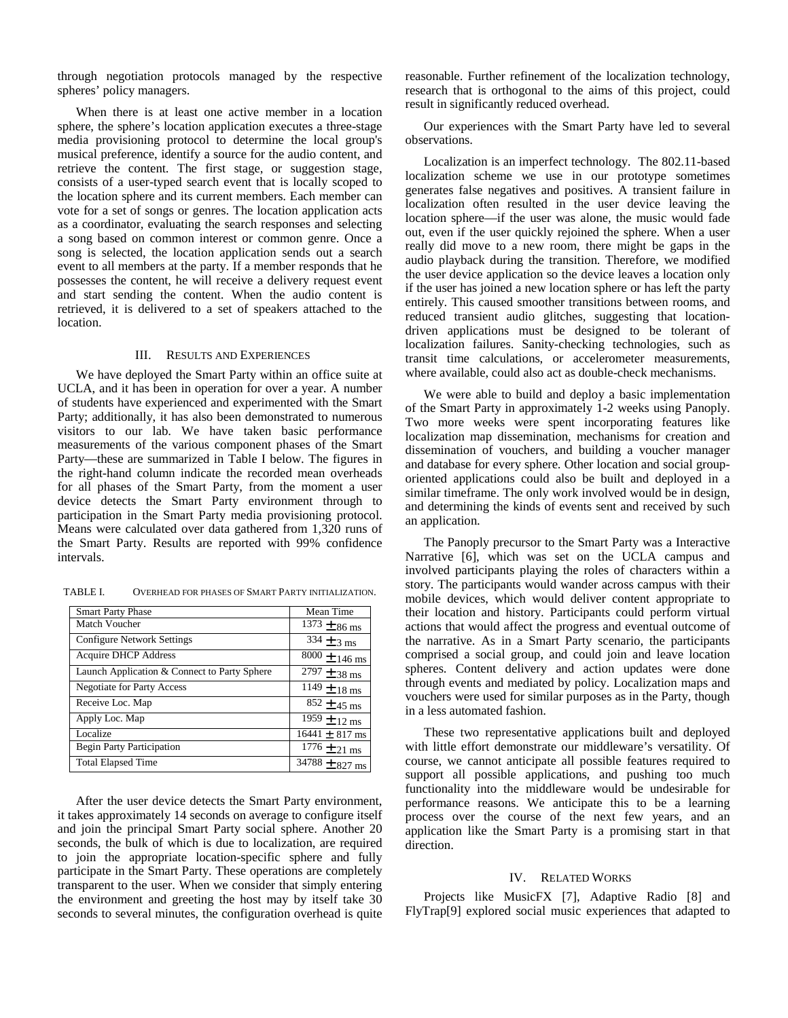through negotiation protocols managed by the respective spheres' policy managers.

When there is at least one active member in a location sphere, the sphere's location application executes a three-stage media provisioning protocol to determine the local group's musical preference, identify a source for the audio content, and retrieve the content. The first stage, or suggestion stage, consists of a user-typed search event that is locally scoped to the location sphere and its current members. Each member can vote for a set of songs or genres. The location application acts as a coordinator, evaluating the search responses and selecting a song based on common interest or common genre. Once a song is selected, the location application sends out a search event to all members at the party. If a member responds that he possesses the content, he will receive a delivery request event and start sending the content. When the audio content is retrieved, it is delivered to a set of speakers attached to the location.

## III. RESULTS AND EXPERIENCES

We have deployed the Smart Party within an office suite at UCLA, and it has been in operation for over a year. A number of students have experienced and experimented with the Smart Party; additionally, it has also been demonstrated to numerous visitors to our lab. We have taken basic performance measurements of the various component phases of the Smart Party—these are summarized in Table I below. The figures in the right-hand column indicate the recorded mean overheads for all phases of the Smart Party, from the moment a user device detects the Smart Party environment through to participation in the Smart Party media provisioning protocol. Means were calculated over data gathered from 1,320 runs of the Smart Party. Results are reported with 99% confidence intervals.

| <b>Smart Party Phase</b>                     | Mean Time                  |
|----------------------------------------------|----------------------------|
| Match Voucher                                | $1373 \pm 86$ ms           |
| <b>Configure Network Settings</b>            | $334 \pm 3$ ms             |
| <b>Acquire DHCP Address</b>                  | $8000 \pm 146$ ms          |
| Launch Application & Connect to Party Sphere | $\frac{1}{2797} \pm 38$ ms |
| <b>Negotiate for Party Access</b>            | $1149 \pm 18$ ms           |
| Receive Loc. Map                             | $852 \pm 45$ ms            |
| Apply Loc. Map                               | $1959 \pm 12$ ms           |
| Localize                                     | $16441 \pm 817$ ms         |
| <b>Begin Party Participation</b>             | $1776 \pm 21$ ms           |
| <b>Total Elapsed Time</b>                    | $34788 + 827$ ms           |

TABLE I. OVERHEAD FOR PHASES OF SMART PARTY INITIALIZATION.

After the user device detects the Smart Party environment, it takes approximately 14 seconds on average to configure itself and join the principal Smart Party social sphere. Another 20 seconds, the bulk of which is due to localization, are required to join the appropriate location-specific sphere and fully participate in the Smart Party. These operations are completely transparent to the user. When we consider that simply entering the environment and greeting the host may by itself take 30 seconds to several minutes, the configuration overhead is quite

reasonable. Further refinement of the localization technology, research that is orthogonal to the aims of this project, could result in significantly reduced overhead.

Our experiences with the Smart Party have led to several observations.

Localization is an imperfect technology. The 802.11-based localization scheme we use in our prototype sometimes generates false negatives and positives. A transient failure in localization often resulted in the user device leaving the location sphere—if the user was alone, the music would fade out, even if the user quickly rejoined the sphere. When a user really did move to a new room, there might be gaps in the audio playback during the transition. Therefore, we modified the user device application so the device leaves a location only if the user has joined a new location sphere or has left the party entirely. This caused smoother transitions between rooms, and reduced transient audio glitches, suggesting that locationdriven applications must be designed to be tolerant of localization failures. Sanity-checking technologies, such as transit time calculations, or accelerometer measurements, where available, could also act as double-check mechanisms.

We were able to build and deploy a basic implementation of the Smart Party in approximately 1-2 weeks using Panoply. Two more weeks were spent incorporating features like localization map dissemination, mechanisms for creation and dissemination of vouchers, and building a voucher manager and database for every sphere. Other location and social grouporiented applications could also be built and deployed in a similar timeframe. The only work involved would be in design, and determining the kinds of events sent and received by such an application.

The Panoply precursor to the Smart Party was a Interactive Narrative [6], which was set on the UCLA campus and involved participants playing the roles of characters within a story. The participants would wander across campus with their mobile devices, which would deliver content appropriate to their location and history. Participants could perform virtual actions that would affect the progress and eventual outcome of the narrative. As in a Smart Party scenario, the participants comprised a social group, and could join and leave location spheres. Content delivery and action updates were done through events and mediated by policy. Localization maps and vouchers were used for similar purposes as in the Party, though in a less automated fashion.

These two representative applications built and deployed with little effort demonstrate our middleware's versatility. Of course, we cannot anticipate all possible features required to support all possible applications, and pushing too much functionality into the middleware would be undesirable for performance reasons. We anticipate this to be a learning process over the course of the next few years, and an application like the Smart Party is a promising start in that direction.

#### IV. RELATED WORKS

Projects like MusicFX [7], Adaptive Radio [8] and FlyTrap[9] explored social music experiences that adapted to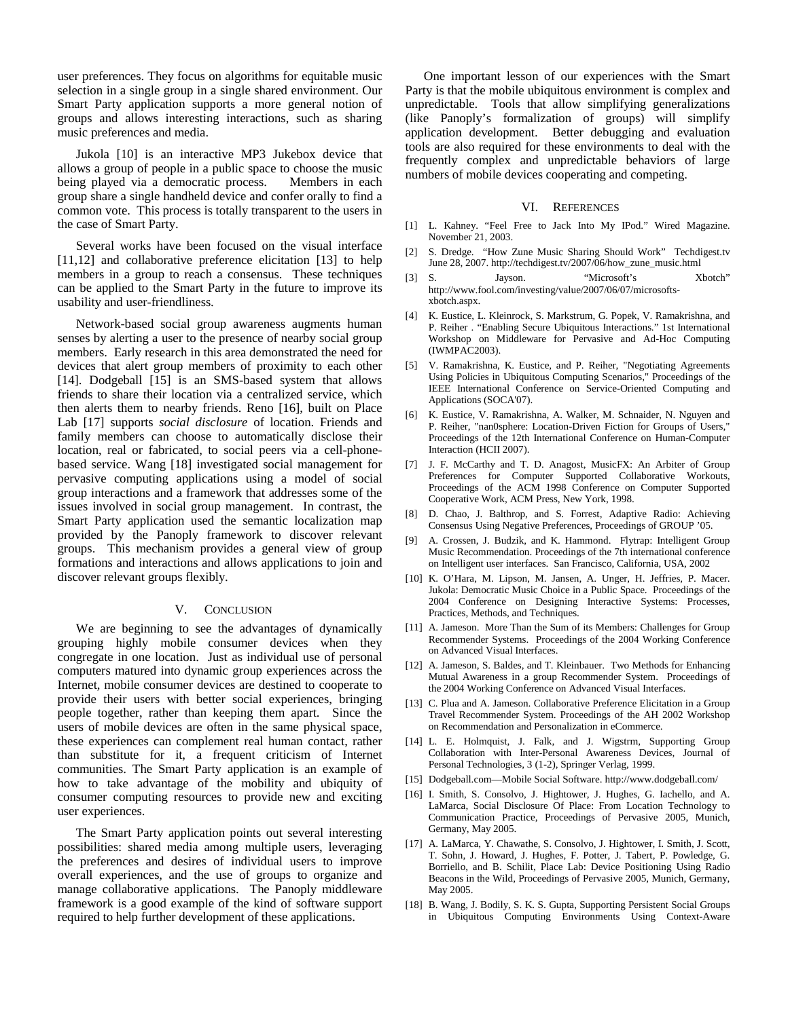user preferences. They focus on algorithms for equitable music selection in a single group in a single shared environment. Our Smart Party application supports a more general notion of groups and allows interesting interactions, such as sharing music preferences and media.

Jukola [10] is an interactive MP3 Jukebox device that allows a group of people in a public space to choose the music being played via a democratic process. Members in each group share a single handheld device and confer orally to find a common vote. This process is totally transparent to the users in the case of Smart Party.

Several works have been focused on the visual interface [11,12] and collaborative preference elicitation [13] to help members in a group to reach a consensus. These techniques can be applied to the Smart Party in the future to improve its usability and user-friendliness.

Network-based social group awareness augments human senses by alerting a user to the presence of nearby social group members. Early research in this area demonstrated the need for devices that alert group members of proximity to each other [14]. Dodgeball [15] is an SMS-based system that allows friends to share their location via a centralized service, which then alerts them to nearby friends. Reno [16], built on Place Lab [17] supports *social disclosure* of location. Friends and family members can choose to automatically disclose their location, real or fabricated, to social peers via a cell-phonebased service. Wang [18] investigated social management for pervasive computing applications using a model of social group interactions and a framework that addresses some of the issues involved in social group management. In contrast, the Smart Party application used the semantic localization map provided by the Panoply framework to discover relevant groups. This mechanism provides a general view of group formations and interactions and allows applications to join and discover relevant groups flexibly.

# V. CONCLUSION

We are beginning to see the advantages of dynamically grouping highly mobile consumer devices when they congregate in one location. Just as individual use of personal computers matured into dynamic group experiences across the Internet, mobile consumer devices are destined to cooperate to provide their users with better social experiences, bringing people together, rather than keeping them apart. Since the users of mobile devices are often in the same physical space, these experiences can complement real human contact, rather than substitute for it, a frequent criticism of Internet communities. The Smart Party application is an example of how to take advantage of the mobility and ubiquity of consumer computing resources to provide new and exciting user experiences.

The Smart Party application points out several interesting possibilities: shared media among multiple users, leveraging the preferences and desires of individual users to improve overall experiences, and the use of groups to organize and manage collaborative applications. The Panoply middleware framework is a good example of the kind of software support required to help further development of these applications.

One important lesson of our experiences with the Smart Party is that the mobile ubiquitous environment is complex and unpredictable. Tools that allow simplifying generalizations (like Panoply's formalization of groups) will simplify application development. Better debugging and evaluation tools are also required for these environments to deal with the frequently complex and unpredictable behaviors of large numbers of mobile devices cooperating and competing.

## VI. REFERENCES

- [1] L. Kahney. "Feel Free to Jack Into My IPod." Wired Magazine. November 21, 2003.
- [2] S. Dredge. "How Zune Music Sharing Should Work" Techdigest.tv June 28, 2007. http://techdigest.tv/2007/06/how\_zune\_music.html
- [3] S. Jayson. "Microsoft's Xbotch" http://www.fool.com/investing/value/2007/06/07/microsoftsxbotch.aspx.
- [4] K. Eustice, L. Kleinrock, S. Markstrum, G. Popek, V. Ramakrishna, and P. Reiher . "Enabling Secure Ubiquitous Interactions." 1st International Workshop on Middleware for Pervasive and Ad-Hoc Computing (IWMPAC2003).
- [5] V. Ramakrishna, K. Eustice, and P. Reiher, "Negotiating Agreements Using Policies in Ubiquitous Computing Scenarios," Proceedings of the IEEE International Conference on Service-Oriented Computing and Applications (SOCA'07).
- [6] K. Eustice, V. Ramakrishna, A. Walker, M. Schnaider, N. Nguyen and P. Reiher, "nan0sphere: Location-Driven Fiction for Groups of Users," Proceedings of the 12th International Conference on Human-Computer Interaction (HCII 2007).
- [7] J. F. McCarthy and T. D. Anagost, MusicFX: An Arbiter of Group Preferences for Computer Supported Collaborative Workouts, Proceedings of the ACM 1998 Conference on Computer Supported Cooperative Work, ACM Press, New York, 1998.
- [8] D. Chao, J. Balthrop, and S. Forrest, Adaptive Radio: Achieving Consensus Using Negative Preferences, Proceedings of GROUP '05.
- [9] A. Crossen, J. Budzik, and K. Hammond. Flytrap: Intelligent Group Music Recommendation. Proceedings of the 7th international conference on Intelligent user interfaces. San Francisco, California, USA, 2002
- [10] K. O'Hara, M. Lipson, M. Jansen, A. Unger, H. Jeffries, P. Macer. Jukola: Democratic Music Choice in a Public Space. Proceedings of the 2004 Conference on Designing Interactive Systems: Processes, Practices, Methods, and Techniques.
- [11] A. Jameson. More Than the Sum of its Members: Challenges for Group Recommender Systems. Proceedings of the 2004 Working Conference on Advanced Visual Interfaces.
- [12] A. Jameson, S. Baldes, and T. Kleinbauer. Two Methods for Enhancing Mutual Awareness in a group Recommender System. Proceedings of the 2004 Working Conference on Advanced Visual Interfaces.
- [13] C. Plua and A. Jameson. Collaborative Preference Elicitation in a Group Travel Recommender System. Proceedings of the AH 2002 Workshop on Recommendation and Personalization in eCommerce.
- [14] L. E. Holmquist, J. Falk, and J. Wigstrm, Supporting Group Collaboration with Inter-Personal Awareness Devices, Journal of Personal Technologies, 3 (1-2), Springer Verlag, 1999.
- [15] Dodgeball.com—Mobile Social Software. http://www.dodgeball.com/
- [16] I. Smith, S. Consolvo, J. Hightower, J. Hughes, G. Iachello, and A. LaMarca, Social Disclosure Of Place: From Location Technology to Communication Practice, Proceedings of Pervasive 2005, Munich, Germany, May 2005.
- [17] A. LaMarca, Y. Chawathe, S. Consolvo, J. Hightower, I. Smith, J. Scott, T. Sohn, J. Howard, J. Hughes, F. Potter, J. Tabert, P. Powledge, G. Borriello, and B. Schilit, Place Lab: Device Positioning Using Radio Beacons in the Wild, Proceedings of Pervasive 2005, Munich, Germany, May 2005.
- [18] B. Wang, J. Bodily, S. K. S. Gupta, Supporting Persistent Social Groups in Ubiquitous Computing Environments Using Context-Aware